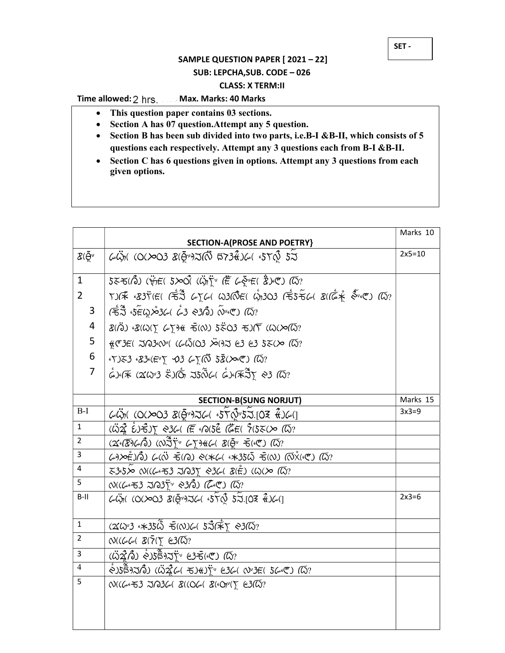## SAMPLE QUESTION PAPER [ 2021 – 22] SUB: LEPCHA,SUB. CODE – 026 CLASS: X TERM:II

## Time allowed: 2 hrs. ...... Max. Marks: 40 Marks

i

- This question paper contains 03 sections.
- Section A has 07 question. Attempt any 5 question.
- Section B has been sub divided into two parts, i.e.B-I &B-II, which consists of 5 questions each respectively. Attempt any 3 questions each from B-I &B-II.
- Section C has 6 questions given in options. Attempt any 3 questions from each given options.

|                                                                           | <b>SECTION-A(PROSE AND POETRY)</b>                                                                                                                                                                                                                                                                                                                                                                                                                                   | Marks 10 |
|---------------------------------------------------------------------------|----------------------------------------------------------------------------------------------------------------------------------------------------------------------------------------------------------------------------------------------------------------------------------------------------------------------------------------------------------------------------------------------------------------------------------------------------------------------|----------|
| $\mathcal{Z}(\bar{\Theta}^{\nu}% )=\mathcal{Z}^{\nu}(\bar{\Theta}^{\nu})$ | $\omega$ $\ddot{\omega}$ n (0( $\infty$ 03 $\chi$ ( $\bar{\Theta}$ ") $\approx$ ( $\ddot{\Omega}$ $\approx$ 73 $\ddot{\alpha}$ ) $\omega$ ( $\sim$ 5 $\gamma$ $\dot{\Omega}$ $\sim$ 5 $\sim$                                                                                                                                                                                                                                                                         | $2x5=10$ |
| $\mathbf{1}$                                                              | $555(0)$ ( $\ddot{\mathbf{y}}_T$ ) ( $\ddot{\mathbf{y}}_T$ ) ( $550(0)$ ( $\ddot{\mathbf{Q}}_T$ ) $\ddot{\mathbf{Y}}_T$ ( $\ddot{\mathbf{E}}$ $\ddot{\mathbf{Q}}_T$ ) ( $\ddot{\mathbf{Q}}_T$ ) ( $\ddot{\mathbf{Q}}_T$                                                                                                                                                                                                                                              |          |
| $\overline{2}$                                                            | $\mathcal{L}(\mathcal{F} \times \mathcal{B})$ $\mathcal{F}(\mathcal{F}) \subset \mathcal{F}$ $\mathcal{F}(\mathcal{F}) \subset \mathcal{F}(\mathcal{F})$ $\mathcal{F}(\mathcal{F}) \subset \mathcal{F}(\mathcal{F})$ $\mathcal{F}(\mathcal{F}) \subset \mathcal{F}(\mathcal{F})$ $\mathcal{F}(\mathcal{F}) \subset \mathcal{F}(\mathcal{F})$ $\mathcal{F}(\mathcal{F}) \subset \mathcal{F}(\mathcal{F})$ $\mathcal{F}(\mathcal{F}) \subset \mathcal{F}(\mathcal{F})$ |          |
| 3                                                                         | (కేనే కె∉్టుస్తుడు డీ3 నిుగినీ) (రాంతా) (దు?                                                                                                                                                                                                                                                                                                                                                                                                                         |          |
| 4                                                                         |                                                                                                                                                                                                                                                                                                                                                                                                                                                                      |          |
| 5                                                                         | $f(x) = f(x)$ $\frac{1}{2}$ $f(x) = f(x)$ $\frac{1}{2}$ $\frac{1}{2}$ $\frac{1}{2}$ $\frac{1}{2}$ $\frac{1}{2}$ $\frac{1}{2}$ $\frac{1}{2}$ $\frac{1}{2}$ $\frac{1}{2}$ $\frac{1}{2}$ $\frac{1}{2}$ $\frac{1}{2}$ $\frac{1}{2}$ $\frac{1}{2}$ $\frac{1}{2}$ $\frac{1}{2}$ $\frac{1}{2}$ $\frac{1}{2}$ $\frac{1}{2}$                                                                                                                                                  |          |
| $\boldsymbol{6}$                                                          | $(5)$ $53$ $(83)$ $(5)$ $(5)$ $(3)$ $(6)$ $(7)$ $(8)$ $(8)$ $(10)$                                                                                                                                                                                                                                                                                                                                                                                                   |          |
| $\overline{7}$                                                            | $\overset{\circ}{\omega}$ وه (35%) مَارْتُم 55\$ (\$10%) هُونَ (\$10%) هُوَ (\$10%) هُوَ (\$10%) هُوَ (\$10%) هُوَ (\$10%) هُوَ (\$10                                                                                                                                                                                                                                                                                                                                |          |
|                                                                           |                                                                                                                                                                                                                                                                                                                                                                                                                                                                      |          |
|                                                                           | <b>SECTION-B(SUNG NORJUT)</b>                                                                                                                                                                                                                                                                                                                                                                                                                                        | Marks 15 |
| $B-I$                                                                     | GÜN (O(>O3 &(@")JG &5TQ"5J.[O3 &)G(]                                                                                                                                                                                                                                                                                                                                                                                                                                 | $3x3=9$  |
| $\mathbf{1}$                                                              | $(32.6)$ ( $32.7$ $(1.6)$ $(1.6)$ $(1.6)$ $(1.6)$ $(1.6)$ $(1.6)$ $(1.6)$ $(1.6)$ $(1.6)$ $(1.6)$ $(1.6)$ $(1.6)$ $(1.6)$ $(1.6)$ $(1.6)$ $(1.6)$ $(1.6)$ $(1.6)$ $(1.6)$ $(1.6)$ $(1.6)$ $(1.6)$ $(1.6)$ $(1.6)$ $(1.6)$ $(1.$                                                                                                                                                                                                                                      |          |
| $\overline{2}$                                                            | $(26\sqrt{2})$ $( \sqrt{2})$ $( \sqrt{2})^2$ $( \sqrt{2})$ $( \sqrt{2})$ $( \sqrt{2})$ $( \sqrt{2})$ $( \sqrt{2})^2$ $( \sqrt{2})^2$ $( \sqrt{2})^2$ $( \sqrt{2})^2$ $( \sqrt{2})^2$ $( \sqrt{2})^2$ $( \sqrt{2})^2$ $( \sqrt{2})^2$ $( \sqrt{2})^2$ $( \sqrt{2})^2$ $( \sqrt{2})^2$ $( \sqrt{2})^2$ $( \sqrt{2})^2$ $( \sqrt{2})^2$                                                                                                                                 |          |
| 3                                                                         | డం≫ఉృగ్రీ) ఢ్య శ్్ర శ్రు శ్రు శుధ్య శ్రీ త్రి (నుష్టింత్రి) (ద్రే?                                                                                                                                                                                                                                                                                                                                                                                                   |          |
| $\overline{4}$                                                            | 335> 01((6453 JA3∑ 0361 8(È) (W(> 14?                                                                                                                                                                                                                                                                                                                                                                                                                                |          |
| 5                                                                         | N((డంచ3 నె/23) ~ సెసి) (డెంటె) <i>(</i> ద్?                                                                                                                                                                                                                                                                                                                                                                                                                          |          |
| $B-II$                                                                    | $\omega$ $\ddot{\omega}$ n (O(>O3 $\mathcal{B}$ ( $\bar{\Theta}$ ")J $\omega$ ( $\epsilon$ 5 $\gamma$ $\Omega$ 5 $\lambda$ .[O3 $\ddot{\epsilon}$ ) $\omega$ (]                                                                                                                                                                                                                                                                                                      | $2x3=6$  |
| $\mathbf{1}$                                                              | $(260)$ 3 4 $\ast$ 35 $\bar{6}$ F(N)61 5 $\tilde{3}$ ( $\tilde{\ast}$ T $\approx$ 3( $\bar{6}$ ?                                                                                                                                                                                                                                                                                                                                                                     |          |
| $\overline{2}$                                                            | $N((\omega\omega\omega\chi)\bar{\chi}(\overline{\gamma}\psi)\chi)\approx 3(\overline{\omega})$ ?                                                                                                                                                                                                                                                                                                                                                                     |          |
| 3                                                                         | $($ $\ddot{\omega}$ 22 $\hat{A}$ $\ddot{\omega}$ $\dot{\phi}$ $)$ 5 $\ddot{\tilde{B}}$ 9 $\lambda$ $\ddot{\tilde{\chi}}$ $\gamma$ $e$ 3 $\bar{\tau}$ ( $e$ °) $\tilde{a}$ $\tilde{b}$ $\gamma$                                                                                                                                                                                                                                                                       |          |
| $\overline{4}$                                                            | $\mathcal{S}(\mathcal{S})$ گا $\mathcal{S}(\mathcal{S})$ ( $\mathcal{S}(\mathcal{S})$ ار $\mathcal{S}(\mathcal{S})$ ( $\mathcal{S}(\mathcal{S})$ ) ( $\mathcal{S}(\mathcal{S})$ ) ( $\mathcal{S}(\mathcal{S})$                                                                                                                                                                                                                                                       |          |
| 5                                                                         | W((6653 JA366 8((066 860px) E3(45?                                                                                                                                                                                                                                                                                                                                                                                                                                   |          |
|                                                                           |                                                                                                                                                                                                                                                                                                                                                                                                                                                                      |          |
|                                                                           |                                                                                                                                                                                                                                                                                                                                                                                                                                                                      |          |
|                                                                           |                                                                                                                                                                                                                                                                                                                                                                                                                                                                      |          |